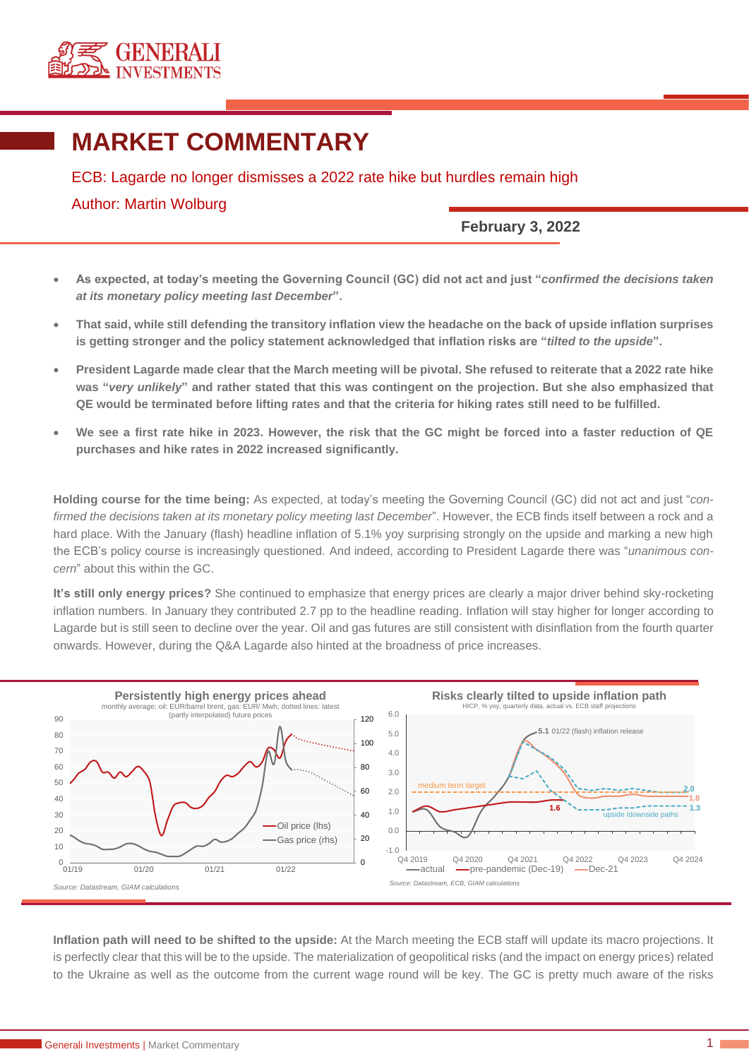

## **MARKET COMMENTARY**

ECB: Lagarde no longer dismisses a 2022 rate hike but hurdles remain high

## Author: Martin Wolburg

**February 3, 2022**

- **As expected, at today's meeting the Governing Council (GC) did not act and just "***confirmed the decisions taken at its monetary policy meeting last December***".**
- **That said, while still defending the transitory inflation view the headache on the back of upside inflation surprises is getting stronger and the policy statement acknowledged that inflation risks are "***tilted to the upside***".**
- **President Lagarde made clear that the March meeting will be pivotal. She refused to reiterate that a 2022 rate hike was "***very unlikely***" and rather stated that this was contingent on the projection. But she also emphasized that QE would be terminated before lifting rates and that the criteria for hiking rates still need to be fulfilled.**
- **We see a first rate hike in 2023. However, the risk that the GC might be forced into a faster reduction of QE purchases and hike rates in 2022 increased significantly.**

**Holding course for the time being:** As expected, at today's meeting the Governing Council (GC) did not act and just "*confirmed the decisions taken at its monetary policy meeting last December*". However, the ECB finds itself between a rock and a hard place. With the January (flash) headline inflation of 5.1% yoy surprising strongly on the upside and marking a new high the ECB's policy course is increasingly questioned. And indeed, according to President Lagarde there was "*unanimous concern*" about this within the GC.

**It's still only energy prices?** She continued to emphasize that energy prices are clearly a major driver behind sky-rocketing inflation numbers. In January they contributed 2.7 pp to the headline reading. Inflation will stay higher for longer according to Lagarde but is still seen to decline over the year. Oil and gas futures are still consistent with disinflation from the fourth quarter onwards. However, during the Q&A Lagarde also hinted at the broadness of price increases.



**Inflation path will need to be shifted to the upside:** At the March meeting the ECB staff will update its macro projections. It is perfectly clear that this will be to the upside. The materialization of geopolitical risks (and the impact on energy prices) related to the Ukraine as well as the outcome from the current wage round will be key. The GC is pretty much aware of the risks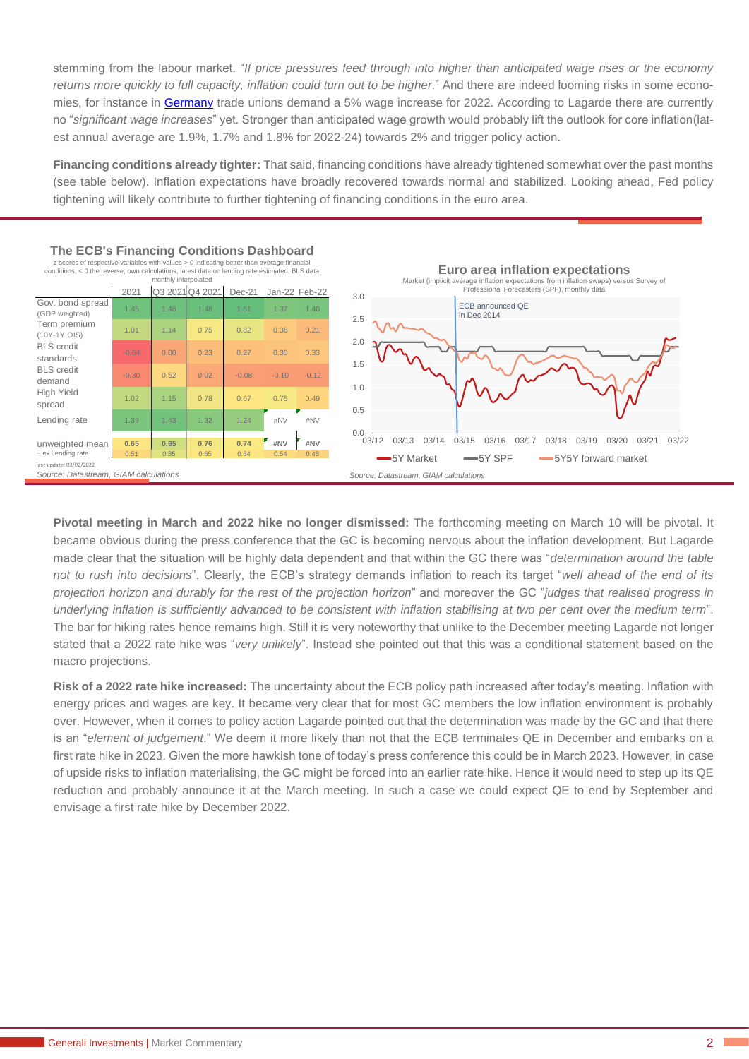stemming from the labour market. "*If price pressures feed through into higher than anticipated wage rises or the economy*  returns more quickly to full capacity, inflation could turn out to be higher." And there are indeed looming risks in some econo-mies, for instance in [Germany](https://www.generali-investments.com/fr/fr/institutional/article/ecb-case-for-policy-normalisation-gets-stronger) trade unions demand a 5% wage increase for 2022. According to Lagarde there are currently no "*significant wage increases*" yet. Stronger than anticipated wage growth would probably lift the outlook for core inflation(latest annual average are 1.9%, 1.7% and 1.8% for 2022-24) towards 2% and trigger policy action.

**Financing conditions already tighter:** That said, financing conditions have already tightened somewhat over the past months (see table below). Inflation expectations have broadly recovered towards normal and stabilized. Looking ahead, Fed policy tightening will likely contribute to further tightening of financing conditions in the euro area.



**Pivotal meeting in March and 2022 hike no longer dismissed:** The forthcoming meeting on March 10 will be pivotal. It became obvious during the press conference that the GC is becoming nervous about the inflation development. But Lagarde made clear that the situation will be highly data dependent and that within the GC there was "*determination around the table not to rush into decisions*". Clearly, the ECB's strategy demands inflation to reach its target "*well ahead of the end of its projection horizon and durably for the rest of the projection horizon*" and moreover the GC "*judges that realised progress in underlying inflation is sufficiently advanced to be consistent with inflation stabilising at two per cent over the medium term*". The bar for hiking rates hence remains high. Still it is very noteworthy that unlike to the December meeting Lagarde not longer stated that a 2022 rate hike was "*very unlikely*". Instead she pointed out that this was a conditional statement based on the macro projections.

**Risk of a 2022 rate hike increased:** The uncertainty about the ECB policy path increased after today's meeting. Inflation with energy prices and wages are key. It became very clear that for most GC members the low inflation environment is probably over. However, when it comes to policy action Lagarde pointed out that the determination was made by the GC and that there is an "*element of judgement*." We deem it more likely than not that the ECB terminates QE in December and embarks on a first rate hike in 2023. Given the more hawkish tone of today's press conference this could be in March 2023. However, in case of upside risks to inflation materialising, the GC might be forced into an earlier rate hike. Hence it would need to step up its QE reduction and probably announce it at the March meeting. In such a case we could expect QE to end by September and envisage a first rate hike by December 2022.